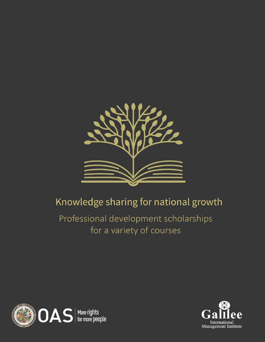

# Knowledge sharing for national growth

# Professional development scholarships for a variety of courses



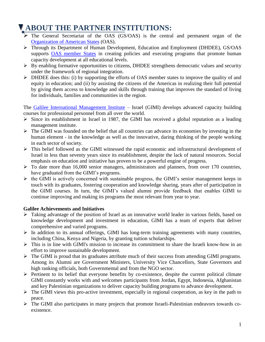## **ABOUT THE PARTNER INSTITUTIONS:**

- $\triangleright$  The General Secretariat of the OAS (GS/OAS) is the central and permanent organ of the [Organization of American States](http://www.oas.org/en/) (OAS).
- Through its Department of Human Development, Education and Employment (DHDEE), GS/OAS supports **OAS** member States in creating policies and executing programs that promote human capacity development at all educational levels.
- $\triangleright$  By enabling formative opportunities to citizens, DHDEE strengthens democratic values and security under the framework of regional integration.
- $\triangleright$  DHDEE does this: (i) by supporting the efforts of OAS member states to improve the quality of and equity in education; and (ii) by assisting the citizens of the Americas in realizing their full potential by giving them access to knowledge and skills through training that improves the standard of living for individuals, families and communities in the region.

The [Galilee International Management Institute](http://www.galilcol.ac.il/) – Israel (GIMI) develops advanced capacity building courses for professional personnel from all over the world.

- $\triangleright$  Since its establishment in Israel in 1987, the GIMI has received a global reputation as a leading management institute.
- $\triangleright$  The GIMI was founded on the belief that all countries can advance its economies by investing in the human element - in the knowledge as well as the innovative, daring thinking of the people working in each sector of society.
- This belief followed as the GIMI witnessed the rapid economic and infrastructural development of Israel in less than seventy years since its establishment, despite the lack of natural resources. Social emphasis on education and initiative has proven to be a powerful engine of progress.
- $\triangleright$  To date more than 16,000 senior managers, administrators and planners, from over 170 countries, have graduated from the GIMI's programs.
- $\triangleright$  the GIMI is actively concerned with sustainable progress, the GIMI's senior management keeps in touch with its graduates, fostering cooperation and knowledge sharing, years after of participation in the GIMI courses. In turn, the GIMI's valued alumni provide feedback that enables GIMI to continue improving and making its programs the most relevant from year to year.

#### **Galilee Achievements and Initiatives**

- Taking advantage of the position of Israel as an innovative world leader in various fields, based on knowledge development and investment in education, GIMI has a team of experts that deliver comprehensive and varied programs.
- $\triangleright$  In addition to its annual offerings, GIMI has long-term training agreements with many countries, including China, Kenya and Nigeria, by granting tuition scholarships.
- $\triangleright$  This is in line with GIMI's mission to increase its commitment to share the Israeli know-how in an effort to improve sustainable development.
- $\triangleright$  The GIMI is proud that its graduates attribute much of their success from attending GIMI programs. Among its Alumni are Government Ministers, University Vice Chancellors, State Governors and high ranking officials, both Governmental and from the NGO sector.
- $\triangleright$  Pertinent to its belief that everyone benefits by co-existence, despite the current political climate GIMI constantly works with and welcomes participants from Jordan, Egypt, Indonesia, Afghanistan and key Palestinian organizations to deliver capacity building programs to advance development.
- $\triangleright$  The GIMI views this pro-active investment, especially in regional cooperation, as key in the path to peace.
- $\triangleright$  The GIMI also participates in many projects that promote Israeli-Palestinian endeavors towards coexistence.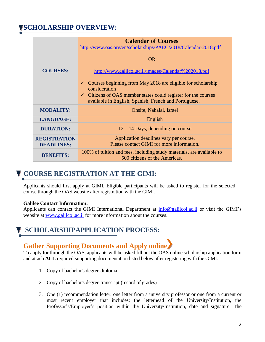### **SCHOLARSHIP OVERVIEW:**

|                                          | <b>Calendar of Courses</b><br>http://www.oas.org/en/scholarships/PAEC/2018/Calendar-2018.pdf                                       |
|------------------------------------------|------------------------------------------------------------------------------------------------------------------------------------|
|                                          | OR.                                                                                                                                |
| <b>COURSES:</b>                          | http://www.galilcol.ac.il/images/Calendar%202018.pdf                                                                               |
|                                          | Courses beginning from May 2018 are eligible for scholarship<br>consideration                                                      |
|                                          | $\checkmark$ Citizens of OAS member states could register for the courses<br>available in English, Spanish, French and Portuguese. |
| <b>MODALITY:</b>                         | Onsite, Nahalal, Israel                                                                                                            |
| <b>LANGUAGE:</b>                         | English                                                                                                                            |
| <b>DURATION:</b>                         | $12 - 14$ Days, depending on course                                                                                                |
| <b>REGISTRATION</b><br><b>DEADLINES:</b> | Application deadlines vary per course.<br>Please contact GIMI for more information.                                                |
| <b>BENEFITS:</b>                         | 100% of tuition and fees, including study materials, are available to<br>500 citizens of the Americas.                             |

### **COURSE REGISTRATION AT THE GIMI:**

Applicants should first apply at GIMI. Eligible participants will be asked to register for the selected course through the OAS website after registration with the GIMI.

#### **Galilee Contact Information:**

Applicants can contact the GIMI International Department at  $info@galilcol.ac-il$  or visit the GIMI's website at [www.galilcol.ac.il](http://www.galilcol.ac.il/) for more information about the courses.

### **SCHOLARSHIPAPPLICATION PROCESS:**

### **Gather Supporting Documents and Apply online**

To apply for through the OAS, applicants will be asked fill out the OAS online scholarship application form and attach **ALL** required supporting documentation listed below after registering with the GIMI:

- 1. Copy of bachelor's degree diploma
- 2. Copy of bachelor's degree transcript (record of grades)
- 3. One (1) recommendation letter: one letter from a university professor or one from a current or most recent employer that includes: the letterhead of the University/Institution, the Professor's/Employer's position within the University/Institution, date and signature. The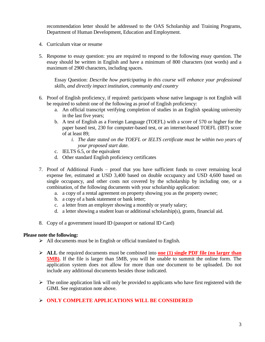recommendation letter should be addressed to the OAS Scholarship and Training Programs, Department of Human Development, Education and Employment.

- 4. Curriculum vitae or resume
- 5. Response to essay question: you are required to respond to the following essay question. The essay should be written in English and have a minimum of 800 characters (not words) and a maximum of 2900 characters, including spaces.

Essay Question: *Describe how participating in this course will enhance your professional skills, and directly impact institution, community and country*

- 6. Proof of English proficiency, if required: participants whose native language is not English will be required to submit one of the following as proof of English proficiency:
	- a. An official transcript verifying completion of studies in an English speaking university in the last five years;
	- b. A test of English as a Foreign Language (TOEFL) with a score of 570 or higher for the paper based test, 230 for computer-based test, or an internet-based TOEFL (IBT) score of at least 89;
		- *i. The date stated on the TOEFL or IELTS certificate must be within two years of your proposed start date.*
	- c. IELTS 6.5, or the equivalent
	- d. Other standard English proficiency certificates
- 7. Proof of Additional Funds proof that you have sufficient funds to cover remaining local expense fee, estimated at USD 3,400 based on double occupancy and USD 4,600 based on single occupancy, and other costs not covered by the scholarship by including one, or a combination, of the following documents with your scholarship application:
	- a. a copy of a rental agreement on property showing you as the property owner;
	- b. a copy of a bank statement or bank letter;
	- c. a letter from an employer showing a monthly or yearly salary;
	- d. a letter showing a student loan or additional scholarship(s), grants, financial aid.
- 8. Copy of a government issued ID (passport or national ID Card)

#### **Please note the following:**

- $\triangleright$  All documents must be in English or official translated to English.
- **ALL** the required documents must be combined into **one (1) [single PDF file](https://acrobat.adobe.com/us/en/acrobat/how-to/merge-combine-pdf-files-online.html) (no larger than 5MB).** If the file is larger than 5MB, you will be unable to summit the online form. The application system does not allow for more than one document to be uploaded. Do not include any additional documents besides those indicated.
- $\triangleright$  The online application link will only be provided to applicants who have first registered with the GIMI. See registration note above.
- **ONLY COMPLETE APPLICATIONS WILL BE CONSIDERED**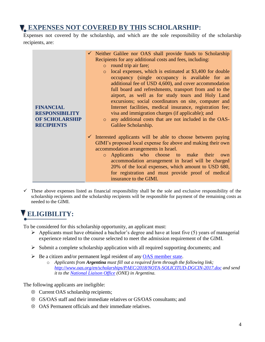### **EXPENSES NOT COVERED BY THIS SCHOLARSHIP:**

Expenses not covered by the scholarship, and which are the sole responsibility of the scholarship recipients, are:



 $\checkmark$  These above expenses listed as financial responsibility shall be the sole and exclusive responsibility of the scholarship recipients and the scholarship recipients will be responsible for payment of the remaining costs as needed to the GIMI.

# **ELIGIBILITY:**

To be considered for this scholarship opportunity, an applicant must:

- $\triangleright$  Applicants must have obtained a bachelor's degree and have at least five (5) years of managerial experience related to the course selected to meet the admission requirement of the GIMI.
- $\triangleright$  Submit a complete scholarship application with all required supporting documents; and
- Be a citizen and/or permanent legal resident of any [OAS member state.](http://www.oas.org/en/member_states/default.asp)
	- o *Applicants from Argentina must fill out a required form through the following link; <http://www.oas.org/en/scholarships/PAEC/2018/NOTA-SOLICITUD-DGCIN-2017.doc> and send it to the [National Liaison Office](http://www.oas.org/en/scholarships/regularprogram/one.asp) (ONE) in Argentina.*

The following applicants are ineligible:

- $\otimes$  Current OAS scholarship recipients;
- GS/OAS staff and their immediate relatives or GS/OAS consultants; and
- OAS Permanent officials and their immediate relatives.